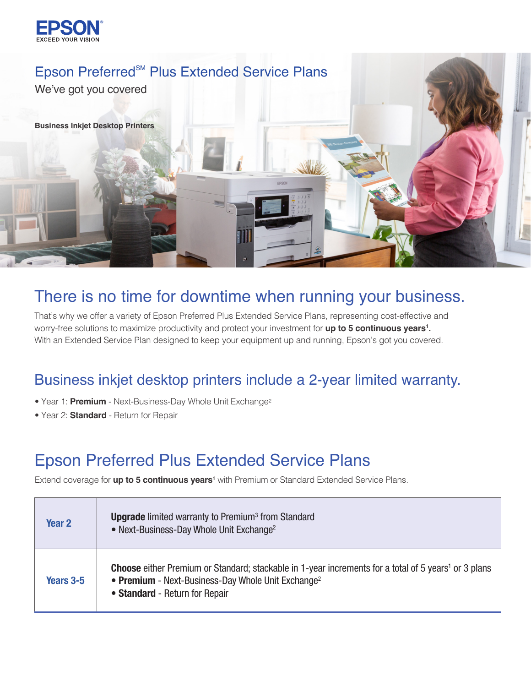



## There is no time for downtime when running your business.

That's why we offer a variety of Epson Preferred Plus Extended Service Plans, representing cost-effective and worry-free solutions to maximize productivity and protect your investment for **up to 5 continuous years1 .** With an Extended Service Plan designed to keep your equipment up and running, Epson's got you covered.

## Business inkjet desktop printers include a 2-year limited warranty.

- Year 1: **Premium** Next-Business-Day Whole Unit Exchange2
- Year 2: **Standard**  Return for Repair

## Epson Preferred Plus Extended Service Plans

Extend coverage for **up to 5 continuous years1** with Premium or Standard Extended Service Plans.

| Year <sub>2</sub> | <b>Upgrade</b> limited warranty to Premium <sup>3</sup> from Standard<br>• Next-Business-Day Whole Unit Exchange <sup>2</sup>                                                                                               |
|-------------------|-----------------------------------------------------------------------------------------------------------------------------------------------------------------------------------------------------------------------------|
| Years 3-5         | <b>Choose</b> either Premium or Standard; stackable in 1-year increments for a total of 5 years <sup>1</sup> or 3 plans<br>• Premium - Next-Business-Day Whole Unit Exchange <sup>2</sup><br>• Standard - Return for Repair |